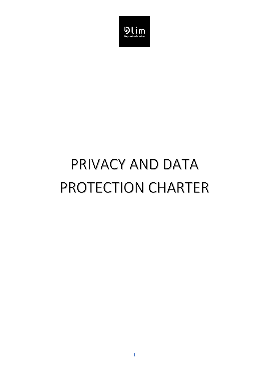

# PRIVACY AND DATA PROTECTION CHARTER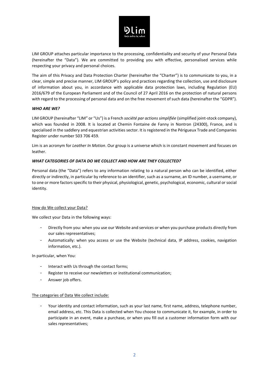

LIM GROUP attaches particular importance to the processing, confidentiality and security of your Personal Data (hereinafter the "Data"). We are committed to providing you with effective, personalised services while respecting your privacy and personal choices.

The aim of this Privacy and Data Protection Charter (hereinafter the "Charter") is to communicate to you, in a clear, simple and precise manner, LIM GROUP's policy and practices regarding the collection, use and disclosure of information about you, in accordance with applicable data protection laws, including Regulation (EU) 2016/679 of the European Parliament and of the Council of 27 April 2016 on the protection of natural persons with regard to the processing of personal data and on the free movement of such data (hereinafter the "GDPR").

## *WHO ARE WE?*

LIM GROUP (hereinafter "LIM" or "Us") is a French *société par actions simplifiée* (simplified joint-stock company), which was founded in 2008. It is located at Chemin Fontaine de Fanny in Nontron (24300), France, and is specialised in the saddlery and equestrian activities sector. It is registered in the Périgueux Trade and Companies Register under number 503 706 459.

Lim is an acronym for *Leather In Motion*. Our group is a universe which is in constant movement and focuses on leather.

#### *WHAT CATEGORIES OF DATA DO WE COLLECT AND HOW ARE THEY COLLECTED?*

Personal data (the "Data") refers to any information relating to a natural person who can be identified, either directly or indirectly, in particular by reference to an identifier, such as a surname, an ID number, a username, or to one or more factors specific to their physical, physiological, genetic, psychological, economic, cultural or social identity.

#### How do We collect your Data?

We collect your Data in the following ways:

- Directly from you: when you use our Website and services or when you purchase products directly from our sales representatives;
- Automatically: when you access or use the Website (technical data, IP address, cookies, navigation information, etc.).

In particular, when You:

- Interact with Us through the contact forms;
- Register to receive our newsletters or institutional communication;
- Answer job offers.

## The categories of Data We collect include:

Your identity and contact information, such as your last name, first name, address, telephone number, email address, etc. This Data is collected when You choose to communicate it, for example, in order to participate in an event, make a purchase, or when you fill out a customer information form with our sales representatives;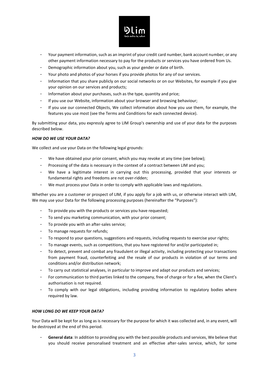

- Your payment information, such as an imprint of your credit card number, bank account number, or any other payment information necessary to pay for the products or services you have ordered from Us.
- Demographic information about you, such as your gender or date of birth.
- Your photo and photos of your horses if you provide photos for any of our services.
- Information that you share publicly on our social networks or on our Websites, for example if you give your opinion on our services and products;
- Information about your purchases, such as the type, quantity and price;
- If you use our Website, information about your browser and browsing behaviour;
- If you use our connected Objects, We collect information about how you use them, for example, the features you use most (see the Terms and Conditions for each connected device).

By submitting your data, you expressly agree to LIM Group's ownership and use of your data for the purposes described below.

## *HOW DO WE USE YOUR DATA?*

We collect and use your Data on the following legal grounds:

- We have obtained your prior consent, which you may revoke at any time (see below);
- Processing of the data is necessary in the context of a contract between LIM and you;
- We have a legitimate interest in carrying out this processing, provided that your interests or fundamental rights and freedoms are not over-ridden;
- We must process your Data in order to comply with applicable laws and regulations.

Whether you are a customer or prospect of LIM, if you apply for a job with us, or otherwise interact with LIM, We may use your Data for the following processing purposes (hereinafter the "Purposes"):

- To provide you with the products or services you have requested;
- To send you marketing communication, with your prior consent;
- To provide you with an after-sales service;
- To manage requests for refunds;
- To respond to your questions, suggestions and requests, including requests to exercise your rights;
- To manage events, such as competitions, that you have registered for and/or participated in;
- To detect, prevent and combat any fraudulent or illegal activity, including protecting your transactions from payment fraud, counterfeiting and the resale of our products in violation of our terms and conditions and/or distribution network;
- To carry out statistical analyses, in particular to improve and adapt our products and services;
- For communication to third parties linked to the company, free of charge or for a fee, when the Client's authorisation is not required.
- To comply with our legal obligations, including providing information to regulatory bodies where required by law.

## *HOW LONG DO WE KEEP YOUR DATA?*

Your Data will be kept for as long as is necessary for the purpose for which it was collected and, in any event, will be destroyed at the end of this period.

- **General data**: In addition to providing you with the best possible products and services, We believe that you should receive personalised treatment and an effective after-sales service, which, for some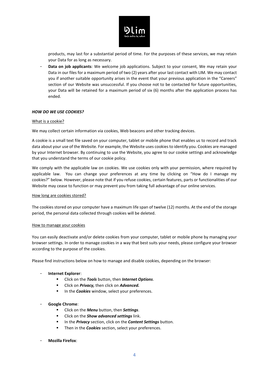

products, may last for a substantial period of time. For the purposes of these services, we may retain your Data for as long as necessary.

- **Data on job applicants**: We welcome job applications. Subject to your consent, We may retain your Data in our files for a maximum period of two (2) years after your last contact with LIM. We may contact you if another suitable opportunity arises in the event that your previous application in the "Careers" section of our Website was unsuccessful. If you choose not to be contacted for future opportunities, your Data will be retained for a maximum period of six (6) months after the application process has ended.

## *HOW DO WE USE COOKIES?*

#### What is a cookie?

We may collect certain information via cookies, Web beacons and other tracking devices.

A cookie is a small text file saved on your computer, tablet or mobile phone that enables us to record and track data about your use of the Website. For example, the Website uses cookies to identify you. Cookies are managed by your Internet browser. By continuing to use the Website, you agree to our cookie settings and acknowledge that you understand the terms of our cookie policy.

We comply with the applicable law on cookies. We use cookies only with your permission, where required by applicable law. You can change your preferences at any time by clicking on "How do I manage my cookies?" below. However, please note that if you refuse cookies, certain features, parts or functionalities of our Website may cease to function or may prevent you from taking full advantage of our online services.

#### How long are cookies stored?

The cookies stored on your computer have a maximum life span of twelve (12) months. At the end of the storage period, the personal data collected through cookies will be deleted.

#### How to manage your cookies

You can easily deactivate and/or delete cookies from your computer, tablet or mobile phone by managing your browser settings. In order to manage cookies in a way that best suits your needs, please configure your browser according to the purpose of the cookies.

Please find instructions below on how to manage and disable cookies, depending on the browser:

## - **Internet Explorer**:

- Click on the *Tools* button, then *Internet Options*.
- Click on *Privacy,* then click on *Advanced.*
- **■** In the *Cookies* window, select your preferences.

## - **Google Chrome**:

- Click on the *Menu* button, then *Settings*.
- Click on the *Show advanced settings* link.
- In the *Privacy* section, click on the *Content Settings* button.
- **EXECT** Then in the **Cookies** section, select your preferences.
- **Mozilla Firefox**: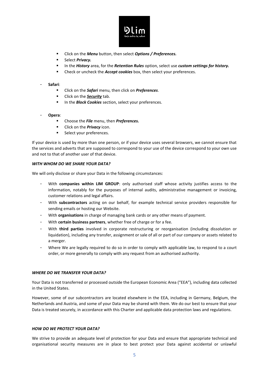

- Click on the *Menu* button, then select *Options / Preferences.*
- Select *Privacy*.
- In the *History* area, for the *Retention Rules* option, select use *custom settings for history.*
- Check or uncheck the *Accept cookies* box, then select your preferences.

## - **Safari**:

- Click on the *Safari* menu, then click on *Preferences*.
- **EXECUTE:** Click on the **Security** tab.
- **EXECT** In the **Block Cookies** section, select your preferences.
- **Opera**:
	- Choose the *File* menu, then *Preferences.*
	- Click on the **Privacy** icon.
	- Select your preferences.

If your device is used by more than one person, or if your device uses several browsers, we cannot ensure that the services and adverts that are supposed to correspond to your use of the device correspond to your own use and not to that of another user of that device.

## *WITH WHOM DO WE SHARE YOUR DATA?*

We will only disclose or share your Data in the following circumstances:

- With **companies within LIM GROUP**: only authorised staff whose activity justifies access to the information, notably for the purposes of internal audits, administrative management or invoicing, customer relations and legal affairs.
- With **subcontractors** acting on our behalf, for example technical service providers responsible for sending emails or hosting our Website.
- With **organisations** in charge of managing bank cards or any other means of payment.
- With **certain business partners**, whether free of charge or for a fee.
- With **third parties** involved in corporate restructuring or reorganisation (including dissolution or liquidation), including any transfer, assignment or sale of all or part of our company or assets related to a merger.
- Where We are legally required to do so in order to comply with applicable law, to respond to a court order, or more generally to comply with any request from an authorised authority.

## *WHERE DO WE TRANSFER YOUR DATA?*

Your Data is not transferred or processed outside the European Economic Area ("EEA"), including data collected in the United States.

However, some of our subcontractors are located elsewhere in the EEA, including in Germany, Belgium, the Netherlands and Austria, and some of your Data may be shared with them. We do our best to ensure that your Data is treated securely, in accordance with this Charter and applicable data protection laws and regulations.

## *HOW DO WE PROTECT YOUR DATA?*

We strive to provide an adequate level of protection for your Data and ensure that appropriate technical and organisational security measures are in place to best protect your Data against accidental or unlawful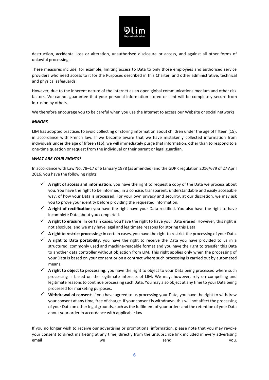

destruction, accidental loss or alteration, unauthorised disclosure or access, and against all other forms of unlawful processing.

These measures include, for example, limiting access to Data to only those employees and authorised service providers who need access to it for the Purposes described in this Charter, and other administrative, technical and physical safeguards.

However, due to the inherent nature of the internet as an open global communications medium and other risk factors, We cannot guarantee that your personal information stored or sent will be completely secure from intrusion by others.

We therefore encourage you to be careful when you use the Internet to access our Website or social networks.

## *MINORS*

LIM has adopted practices to avoid collecting or storing information about children under the age of fifteen (15), in accordance with French law. If we become aware that we have mistakenly collected information from individuals under the age of fifteen (15), we will immediately purge that information, other than to respond to a one-time question or request from the individual or their parent or legal guardian.

# *WHAT ARE YOUR RIGHTS?*

In accordance with Law No. 78–17 of 6 January 1978 (as amended) and the GDPR regulation 2016/679 of 27 April 2016, you have the following rights:

- ✓ **A right of access and information**: you have the right to request a copy of the Data we process about you. You have the right to be informed, in a concise, transparent, understandable and easily accessible way, of how your Data is processed. For your own privacy and security, at our discretion, we may ask you to prove your identity before providing the requested information.
- ✓ **A right of rectification**: you have the right have your Data rectified. You also have the right to have incomplete Data about you completed.
- ✓ **A right to erasure**: In certain cases, you have the right to have your Data erased. However, this right is not absolute, and we may have legal and legitimate reasons for storing this Data.
- ✓ **A right to restrict processing**: in certain cases, you have the right to restrict the processing of your Data.
- ✓ **A right to Data portability**: you have the right to receive the Data you have provided to us in a structured, commonly used and machine-readable format and you have the right to transfer this Data to another data controller without objection from LIM. This right applies only when the processing of your Data is based on your consent or on a contract where such processing is carried out by automated means.
- ✓ **A right to object to processing**: you have the right to object to your Data being processed where such processing is based on the legitimate interests of LIM. We may, however, rely on compelling and legitimate reasons to continue processing such Data. You may also object at any time to your Data being processed for marketing purposes.
- ✓ **Withdrawal of consent**: if you have agreed to us processing your Data, you have the right to withdraw your consent at any time, free of charge. If your consent is withdrawn, this will not affect the processing of your Data on other legal grounds, such as the fulfilment of your orders and the retention of your Data about your order in accordance with applicable law.

If you no longer wish to receive our advertising or promotional information, please note that you may revoke your consent to direct marketing at any time, directly from the unsubscribe link included in every advertising email we we send the you.